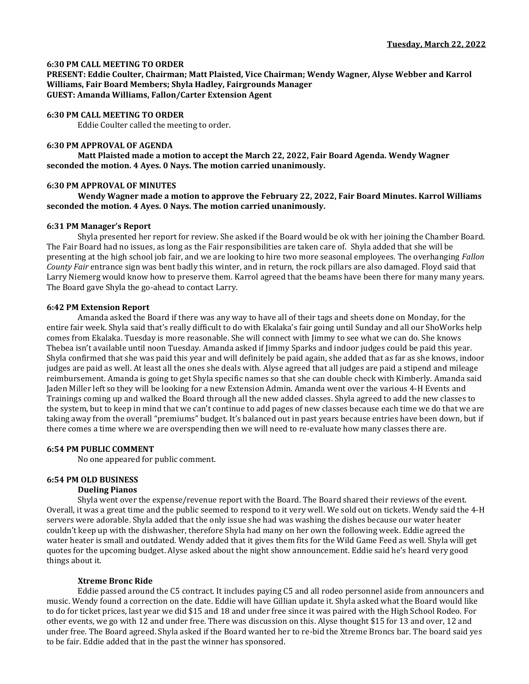### **6:30 PM CALL MEETING TO ORDER**

**PRESENT: Eddie Coulter, Chairman; Matt Plaisted, Vice Chairman; Wendy Wagner, Alyse Webber and Karrol Williams, Fair Board Members; Shyla Hadley, Fairgrounds Manager GUEST: Amanda Williams, Fallon/Carter Extension Agent**

#### **6:30 PM CALL MEETING TO ORDER**

Eddie Coulter called the meeting to order.

#### **6:30 PM APPROVAL OF AGENDA**

**Matt Plaisted made a motion to accept the March 22, 2022, Fair Board Agenda. Wendy Wagner seconded the motion. 4 Ayes. 0 Nays. The motion carried unanimously.** 

#### **6:30 PM APPROVAL OF MINUTES**

**Wendy Wagner made a motion to approve the February 22, 2022, Fair Board Minutes. Karrol Williams seconded the motion. 4 Ayes. 0 Nays. The motion carried unanimously.**

# **6:31 PM Manager's Report**

Shyla presented her report for review. She asked if the Board would be ok with her joining the Chamber Board. The Fair Board had no issues, as long as the Fair responsibilities are taken care of. Shyla added that she will be presenting at the high school job fair, and we are looking to hire two more seasonal employees. The overhanging *Fallon County Fair* entrance sign was bent badly this winter, and in return, the rock pillars are also damaged. Floyd said that Larry Niemerg would know how to preserve them. Karrol agreed that the beams have been there for many many years. The Board gave Shyla the go-ahead to contact Larry.

#### **6:42 PM Extension Report**

Amanda asked the Board if there was any way to have all of their tags and sheets done on Monday, for the entire fair week. Shyla said that's really difficult to do with Ekalaka's fair going until Sunday and all our ShoWorks help comes from Ekalaka. Tuesday is more reasonable. She will connect with Jimmy to see what we can do. She knows Thebea isn't available until noon Tuesday. Amanda asked if Jimmy Sparks and indoor judges could be paid this year. Shyla confirmed that she was paid this year and will definitely be paid again, she added that as far as she knows, indoor judges are paid as well. At least all the ones she deals with. Alyse agreed that all judges are paid a stipend and mileage reimbursement. Amanda is going to get Shyla specific names so that she can double check with Kimberly. Amanda said Jaden Miller left so they will be looking for a new Extension Admin. Amanda went over the various 4-H Events and Trainings coming up and walked the Board through all the new added classes. Shyla agreed to add the new classes to the system, but to keep in mind that we can't continue to add pages of new classes because each time we do that we are taking away from the overall "premiums" budget. It's balanced out in past years because entries have been down, but if there comes a time where we are overspending then we will need to re-evaluate how many classes there are.

#### **6:54 PM PUBLIC COMMENT**

No one appeared for public comment.

# **6:54 PM OLD BUSINESS**

### **Dueling Pianos**

Shyla went over the expense/revenue report with the Board. The Board shared their reviews of the event. Overall, it was a great time and the public seemed to respond to it very well. We sold out on tickets. Wendy said the 4-H servers were adorable. Shyla added that the only issue she had was washing the dishes because our water heater couldn't keep up with the dishwasher, therefore Shyla had many on her own the following week. Eddie agreed the water heater is small and outdated. Wendy added that it gives them fits for the Wild Game Feed as well. Shyla will get quotes for the upcoming budget. Alyse asked about the night show announcement. Eddie said he's heard very good things about it.

#### **Xtreme Bronc Ride**

Eddie passed around the C5 contract. It includes paying C5 and all rodeo personnel aside from announcers and music. Wendy found a correction on the date. Eddie will have Gillian update it. Shyla asked what the Board would like to do for ticket prices, last year we did \$15 and 18 and under free since it was paired with the High School Rodeo. For other events, we go with 12 and under free. There was discussion on this. Alyse thought \$15 for 13 and over, 12 and under free. The Board agreed. Shyla asked if the Board wanted her to re-bid the Xtreme Broncs bar. The board said yes to be fair. Eddie added that in the past the winner has sponsored.